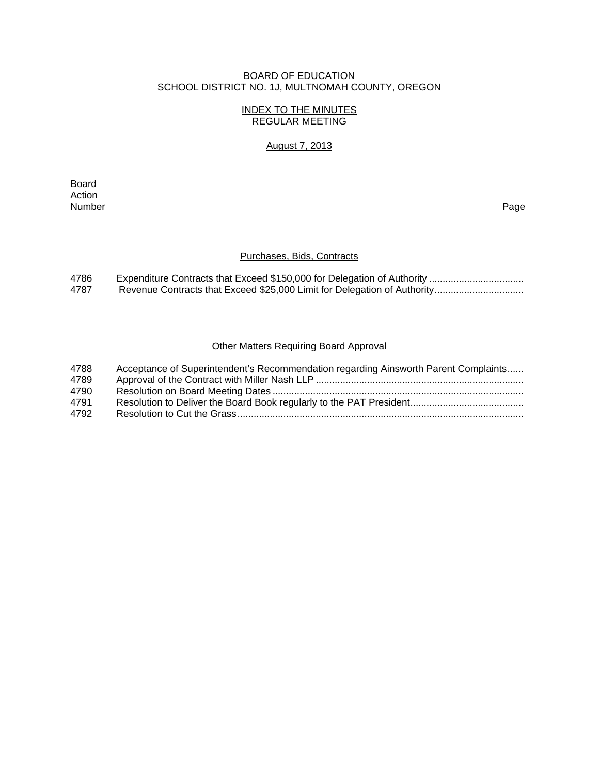### BOARD OF EDUCATION SCHOOL DISTRICT NO. 1J, MULTNOMAH COUNTY, OREGON

# INDEX TO THE MINUTES REGULAR MEETING

# August 7, 2013

**Board Board** Action<br>Number Number Page

### Purchases, Bids, Contracts

| 4786 |  |
|------|--|
| 4787 |  |

# Other Matters Requiring Board Approval

| 4788 | Acceptance of Superintendent's Recommendation regarding Ainsworth Parent Complaints |
|------|-------------------------------------------------------------------------------------|
| 4789 |                                                                                     |
| 4790 |                                                                                     |
| 4791 |                                                                                     |
| 4792 |                                                                                     |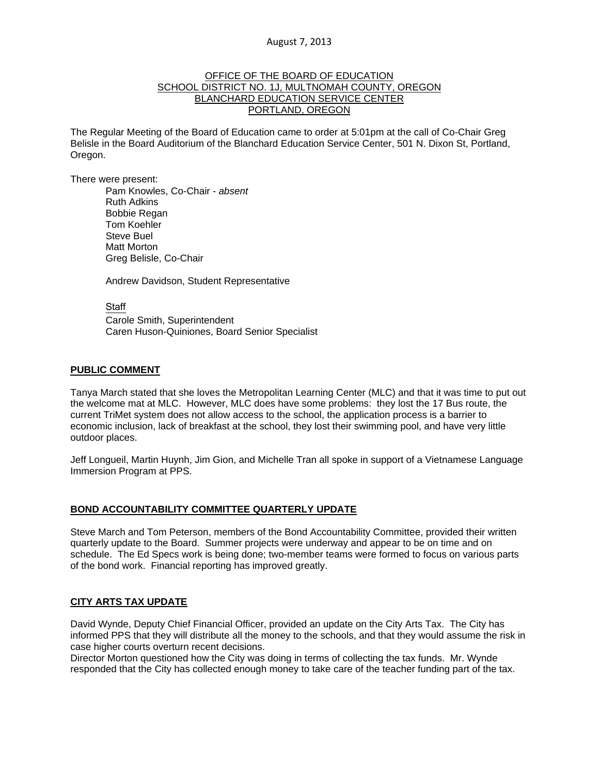#### OFFICE OF THE BOARD OF EDUCATION SCHOOL DISTRICT NO. 1J, MULTNOMAH COUNTY, OREGON BLANCHARD EDUCATION SERVICE CENTER PORTLAND, OREGON

The Regular Meeting of the Board of Education came to order at 5:01pm at the call of Co-Chair Greg Belisle in the Board Auditorium of the Blanchard Education Service Center, 501 N. Dixon St, Portland, Oregon.

There were present: Pam Knowles, Co-Chair - *absent* Ruth Adkins Bobbie Regan Tom Koehler Steve Buel Matt Morton Greg Belisle, Co-Chair

Andrew Davidson, Student Representative

Staff

 Carole Smith, Superintendent Caren Huson-Quiniones, Board Senior Specialist

#### **PUBLIC COMMENT**

Tanya March stated that she loves the Metropolitan Learning Center (MLC) and that it was time to put out the welcome mat at MLC. However, MLC does have some problems: they lost the 17 Bus route, the current TriMet system does not allow access to the school, the application process is a barrier to economic inclusion, lack of breakfast at the school, they lost their swimming pool, and have very little outdoor places.

Jeff Longueil, Martin Huynh, Jim Gion, and Michelle Tran all spoke in support of a Vietnamese Language Immersion Program at PPS.

#### **BOND ACCOUNTABILITY COMMITTEE QUARTERLY UPDATE**

Steve March and Tom Peterson, members of the Bond Accountability Committee, provided their written quarterly update to the Board. Summer projects were underway and appear to be on time and on schedule. The Ed Specs work is being done; two-member teams were formed to focus on various parts of the bond work. Financial reporting has improved greatly.

#### **CITY ARTS TAX UPDATE**

David Wynde, Deputy Chief Financial Officer, provided an update on the City Arts Tax. The City has informed PPS that they will distribute all the money to the schools, and that they would assume the risk in case higher courts overturn recent decisions.

Director Morton questioned how the City was doing in terms of collecting the tax funds. Mr. Wynde responded that the City has collected enough money to take care of the teacher funding part of the tax.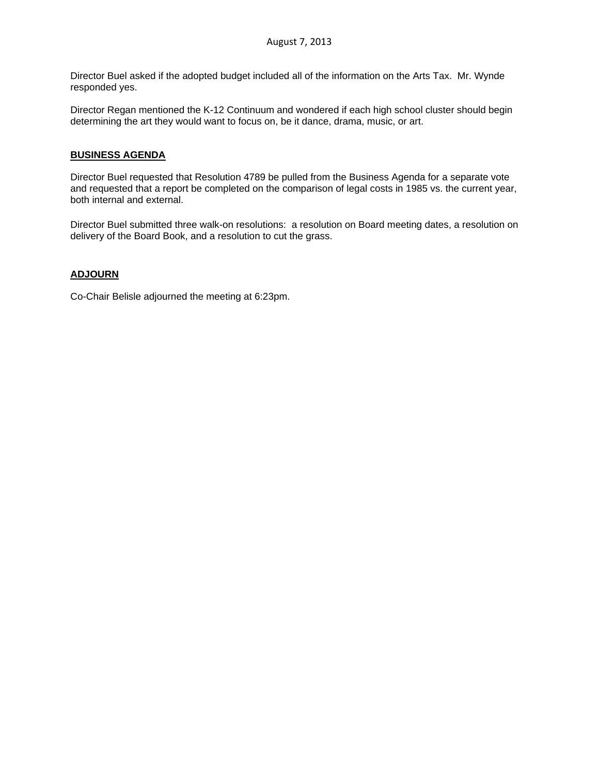Director Buel asked if the adopted budget included all of the information on the Arts Tax. Mr. Wynde responded yes.

Director Regan mentioned the K-12 Continuum and wondered if each high school cluster should begin determining the art they would want to focus on, be it dance, drama, music, or art.

### **BUSINESS AGENDA**

Director Buel requested that Resolution 4789 be pulled from the Business Agenda for a separate vote and requested that a report be completed on the comparison of legal costs in 1985 vs. the current year, both internal and external.

Director Buel submitted three walk-on resolutions: a resolution on Board meeting dates, a resolution on delivery of the Board Book, and a resolution to cut the grass.

# **ADJOURN**

Co-Chair Belisle adjourned the meeting at 6:23pm.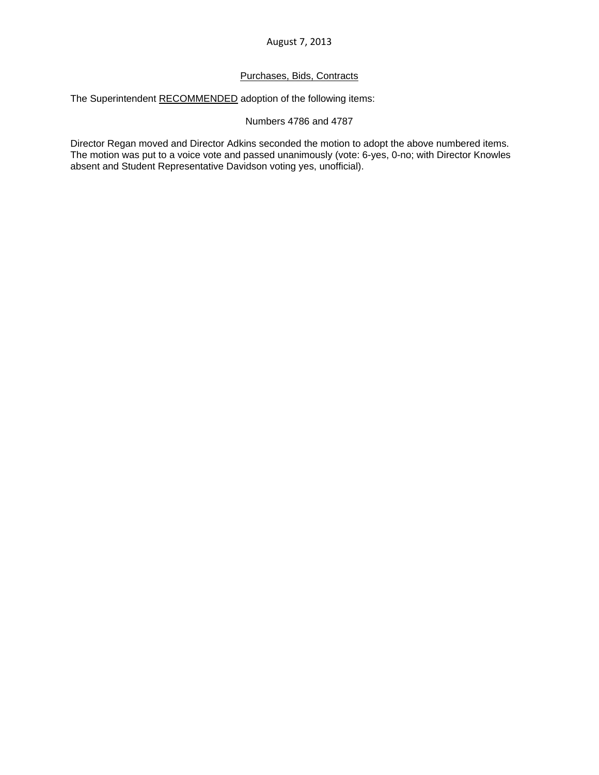### Purchases, Bids, Contracts

The Superintendent RECOMMENDED adoption of the following items:

### Numbers 4786 and 4787

Director Regan moved and Director Adkins seconded the motion to adopt the above numbered items. The motion was put to a voice vote and passed unanimously (vote: 6-yes, 0-no; with Director Knowles absent and Student Representative Davidson voting yes, unofficial).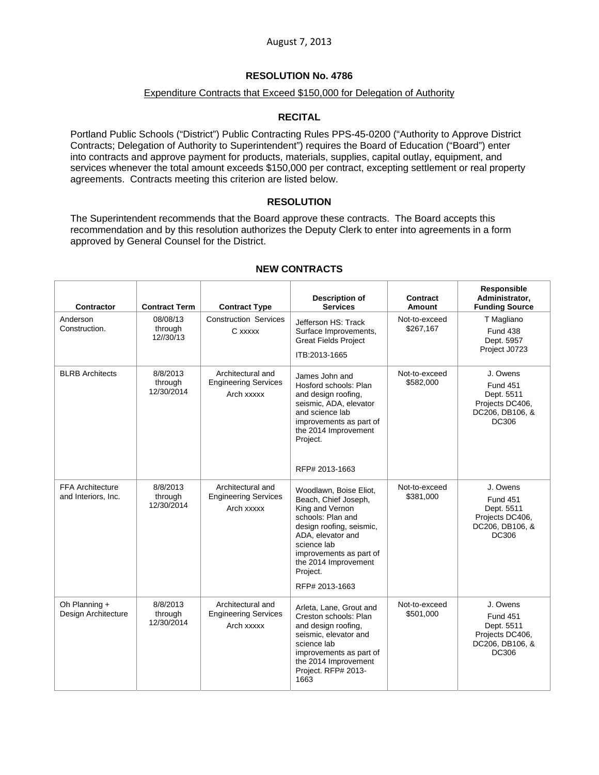# **RESOLUTION No. 4786**

### Expenditure Contracts that Exceed \$150,000 for Delegation of Authority

### **RECITAL**

Portland Public Schools ("District") Public Contracting Rules PPS-45-0200 ("Authority to Approve District Contracts; Delegation of Authority to Superintendent") requires the Board of Education ("Board") enter into contracts and approve payment for products, materials, supplies, capital outlay, equipment, and services whenever the total amount exceeds \$150,000 per contract, excepting settlement or real property agreements. Contracts meeting this criterion are listed below.

#### **RESOLUTION**

The Superintendent recommends that the Board approve these contracts. The Board accepts this recommendation and by this resolution authorizes the Deputy Clerk to enter into agreements in a form approved by General Counsel for the District.

| Contractor                                     | <b>Contract Term</b>              | <b>Contract Type</b>                                           | <b>Description of</b><br><b>Services</b>                                                                                                                                                                                                | Contract<br>Amount         | Responsible<br>Administrator,<br><b>Funding Source</b>                                          |
|------------------------------------------------|-----------------------------------|----------------------------------------------------------------|-----------------------------------------------------------------------------------------------------------------------------------------------------------------------------------------------------------------------------------------|----------------------------|-------------------------------------------------------------------------------------------------|
| Anderson<br>Construction.                      | 08/08/13<br>through<br>12//30/13  | <b>Construction Services</b><br>C xxxxx                        | Jefferson HS: Track<br>Surface Improvements,<br><b>Great Fields Project</b><br>ITB:2013-1665                                                                                                                                            | Not-to-exceed<br>\$267,167 | T Magliano<br><b>Fund 438</b><br>Dept. 5957<br>Project J0723                                    |
| <b>BLRB</b> Architects                         | 8/8/2013<br>through<br>12/30/2014 | Architectural and<br><b>Engineering Services</b><br>Arch xxxxx | James John and<br>Hosford schools: Plan<br>and design roofing,<br>seismic, ADA, elevator<br>and science lab<br>improvements as part of<br>the 2014 Improvement<br>Project.<br>RFP# 2013-1663                                            | Not-to-exceed<br>\$582,000 | J. Owens<br><b>Fund 451</b><br>Dept. 5511<br>Projects DC406,<br>DC206, DB106, &<br><b>DC306</b> |
| <b>FFA Architecture</b><br>and Interiors, Inc. | 8/8/2013<br>through<br>12/30/2014 | Architectural and<br><b>Engineering Services</b><br>Arch xxxxx | Woodlawn, Boise Eliot,<br>Beach, Chief Joseph,<br>King and Vernon<br>schools: Plan and<br>design roofing, seismic,<br>ADA, elevator and<br>science lab<br>improvements as part of<br>the 2014 Improvement<br>Project.<br>RFP# 2013-1663 | Not-to-exceed<br>\$381,000 | J. Owens<br><b>Fund 451</b><br>Dept. 5511<br>Projects DC406,<br>DC206, DB106, &<br>DC306        |
| Oh Planning +<br>Design Architecture           | 8/8/2013<br>through<br>12/30/2014 | Architectural and<br><b>Engineering Services</b><br>Arch xxxxx | Arleta, Lane, Grout and<br>Creston schools: Plan<br>and design roofing,<br>seismic, elevator and<br>science lab<br>improvements as part of<br>the 2014 Improvement<br>Project. RFP# 2013-<br>1663                                       | Not-to-exceed<br>\$501,000 | J. Owens<br><b>Fund 451</b><br>Dept. 5511<br>Projects DC406,<br>DC206, DB106, &<br>DC306        |

### **NEW CONTRACTS**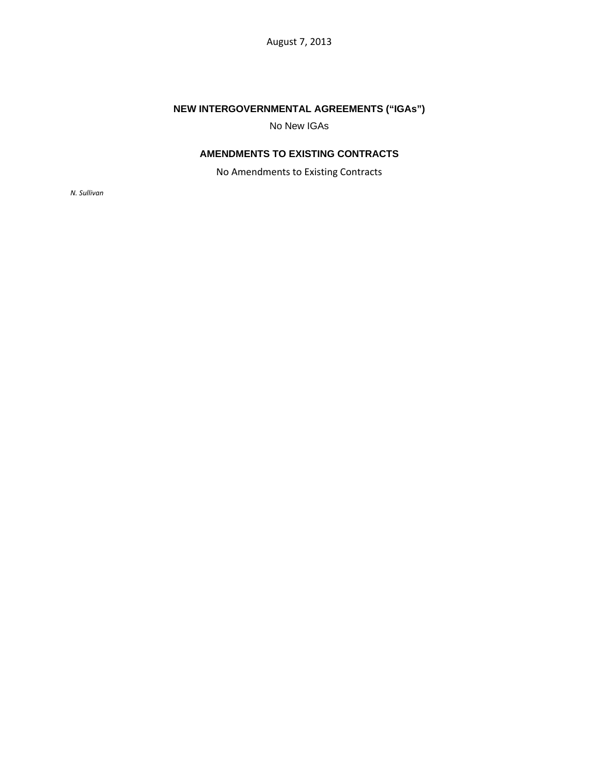# **NEW INTERGOVERNMENTAL AGREEMENTS ("IGAs")**

No New IGAs

# **AMENDMENTS TO EXISTING CONTRACTS**

No Amendments to Existing Contracts

*N. Sullivan*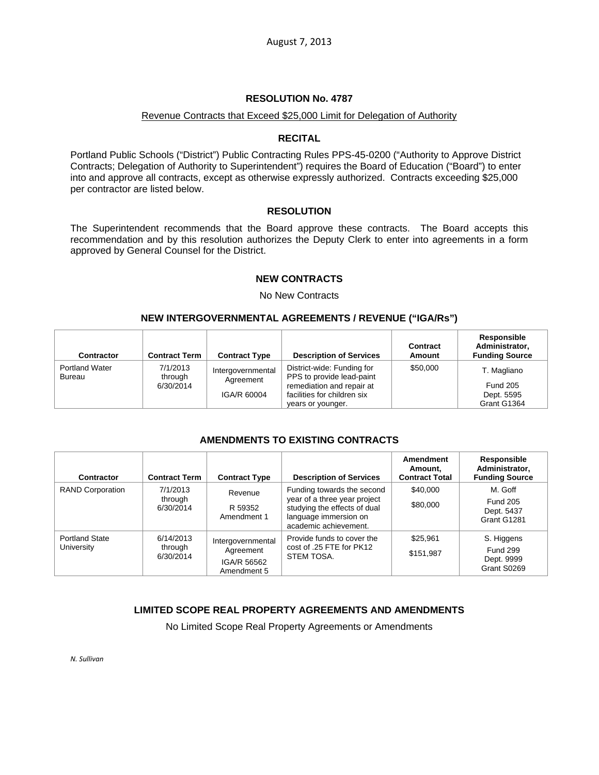### **RESOLUTION No. 4787**

#### Revenue Contracts that Exceed \$25,000 Limit for Delegation of Authority

### **RECITAL**

Portland Public Schools ("District") Public Contracting Rules PPS-45-0200 ("Authority to Approve District Contracts; Delegation of Authority to Superintendent") requires the Board of Education ("Board") to enter into and approve all contracts, except as otherwise expressly authorized. Contracts exceeding \$25,000 per contractor are listed below.

### **RESOLUTION**

The Superintendent recommends that the Board approve these contracts. The Board accepts this recommendation and by this resolution authorizes the Deputy Clerk to enter into agreements in a form approved by General Counsel for the District.

### **NEW CONTRACTS**

No New Contracts

### **NEW INTERGOVERNMENTAL AGREEMENTS / REVENUE ("IGA/Rs")**

| <b>Contractor</b>                      | <b>Contract Term</b> | <b>Contract Type</b>           | <b>Description of Services</b>                           | Contract<br>Amount | Responsible<br>Administrator,<br><b>Funding Source</b> |
|----------------------------------------|----------------------|--------------------------------|----------------------------------------------------------|--------------------|--------------------------------------------------------|
| <b>Portland Water</b><br><b>Bureau</b> | 7/1/2013<br>through  | Intergovernmental<br>Agreement | District-wide: Funding for<br>PPS to provide lead-paint  | \$50,000           | T. Magliano                                            |
|                                        | 6/30/2014            | IGA/R 60004                    | remediation and repair at<br>facilities for children six |                    | <b>Fund 205</b><br>Dept. 5595                          |
|                                        |                      |                                | years or younger.                                        |                    | Grant G1364                                            |

# **AMENDMENTS TO EXISTING CONTRACTS**

| Contractor                          | <b>Contract Term</b>              | <b>Contract Type</b>                                         | <b>Description of Services</b>                                                                                                               | Amendment<br>Amount.<br><b>Contract Total</b> | Responsible<br>Administrator,<br><b>Funding Source</b>     |
|-------------------------------------|-----------------------------------|--------------------------------------------------------------|----------------------------------------------------------------------------------------------------------------------------------------------|-----------------------------------------------|------------------------------------------------------------|
| <b>RAND Corporation</b>             | 7/1/2013<br>through<br>6/30/2014  | Revenue<br>R 59352<br>Amendment 1                            | Funding towards the second<br>year of a three year project<br>studying the effects of dual<br>language immersion on<br>academic achievement. | \$40,000<br>\$80,000                          | M. Goff<br><b>Fund 205</b><br>Dept. 5437<br>Grant G1281    |
| <b>Portland State</b><br>University | 6/14/2013<br>through<br>6/30/2014 | Intergovernmental<br>Agreement<br>IGA/R 56562<br>Amendment 5 | Provide funds to cover the<br>cost of .25 FTE for PK12<br>STEM TOSA.                                                                         | \$25,961<br>\$151,987                         | S. Higgens<br><b>Fund 299</b><br>Dept. 9999<br>Grant S0269 |

# **LIMITED SCOPE REAL PROPERTY AGREEMENTS AND AMENDMENTS**

No Limited Scope Real Property Agreements or Amendments

*N. Sullivan*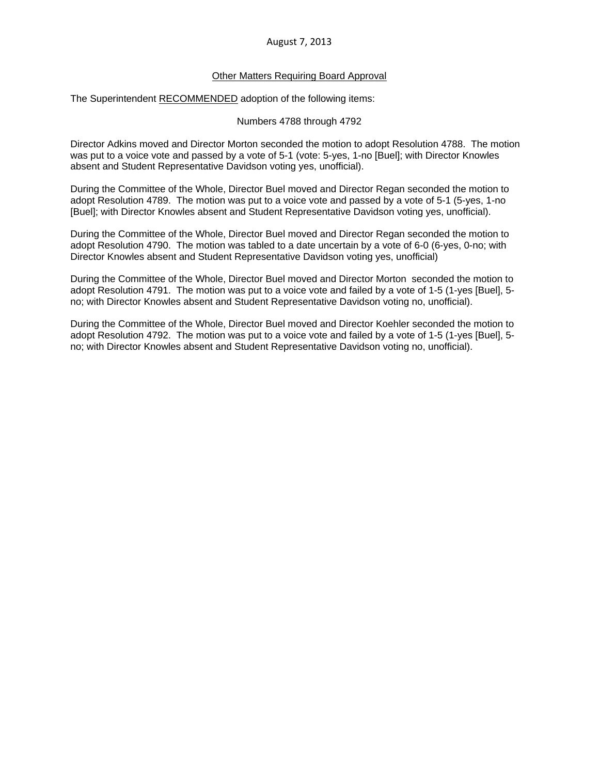#### Other Matters Requiring Board Approval

The Superintendent RECOMMENDED adoption of the following items:

Numbers 4788 through 4792

Director Adkins moved and Director Morton seconded the motion to adopt Resolution 4788. The motion was put to a voice vote and passed by a vote of 5-1 (vote: 5-yes, 1-no [Buel]; with Director Knowles absent and Student Representative Davidson voting yes, unofficial).

During the Committee of the Whole, Director Buel moved and Director Regan seconded the motion to adopt Resolution 4789. The motion was put to a voice vote and passed by a vote of 5-1 (5-yes, 1-no [Buel]; with Director Knowles absent and Student Representative Davidson voting yes, unofficial).

During the Committee of the Whole, Director Buel moved and Director Regan seconded the motion to adopt Resolution 4790. The motion was tabled to a date uncertain by a vote of 6-0 (6-yes, 0-no; with Director Knowles absent and Student Representative Davidson voting yes, unofficial)

During the Committee of the Whole, Director Buel moved and Director Morton seconded the motion to adopt Resolution 4791. The motion was put to a voice vote and failed by a vote of 1-5 (1-yes [Buel], 5 no; with Director Knowles absent and Student Representative Davidson voting no, unofficial).

During the Committee of the Whole, Director Buel moved and Director Koehler seconded the motion to adopt Resolution 4792. The motion was put to a voice vote and failed by a vote of 1-5 (1-yes [Buel], 5 no; with Director Knowles absent and Student Representative Davidson voting no, unofficial).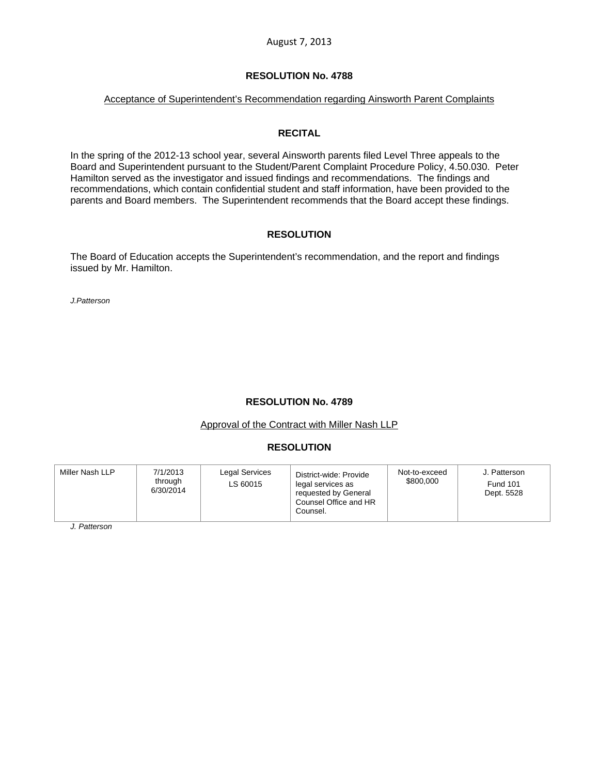#### **RESOLUTION No. 4788**

### Acceptance of Superintendent's Recommendation regarding Ainsworth Parent Complaints

#### **RECITAL**

In the spring of the 2012-13 school year, several Ainsworth parents filed Level Three appeals to the Board and Superintendent pursuant to the Student/Parent Complaint Procedure Policy, 4.50.030. Peter Hamilton served as the investigator and issued findings and recommendations. The findings and recommendations, which contain confidential student and staff information, have been provided to the parents and Board members. The Superintendent recommends that the Board accept these findings.

### **RESOLUTION**

The Board of Education accepts the Superintendent's recommendation, and the report and findings issued by Mr. Hamilton.

*J.Patterson*

# **RESOLUTION No. 4789**

#### Approval of the Contract with Miller Nash LLP

# **RESOLUTION**

*J. Patterson*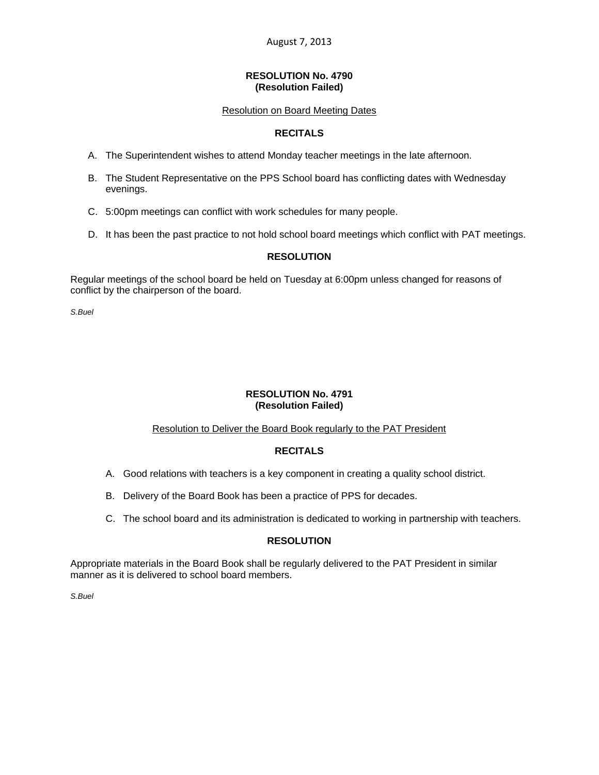#### **RESOLUTION No. 4790 (Resolution Failed)**

### Resolution on Board Meeting Dates

# **RECITALS**

- A. The Superintendent wishes to attend Monday teacher meetings in the late afternoon.
- B. The Student Representative on the PPS School board has conflicting dates with Wednesday evenings.
- C. 5:00pm meetings can conflict with work schedules for many people.
- D. It has been the past practice to not hold school board meetings which conflict with PAT meetings.

### **RESOLUTION**

Regular meetings of the school board be held on Tuesday at 6:00pm unless changed for reasons of conflict by the chairperson of the board.

*S.Buel* 

#### **RESOLUTION No. 4791 (Resolution Failed)**

#### Resolution to Deliver the Board Book regularly to the PAT President

# **RECITALS**

- A. Good relations with teachers is a key component in creating a quality school district.
- B. Delivery of the Board Book has been a practice of PPS for decades.
- C. The school board and its administration is dedicated to working in partnership with teachers.

# **RESOLUTION**

Appropriate materials in the Board Book shall be regularly delivered to the PAT President in similar manner as it is delivered to school board members.

*S.Buel*